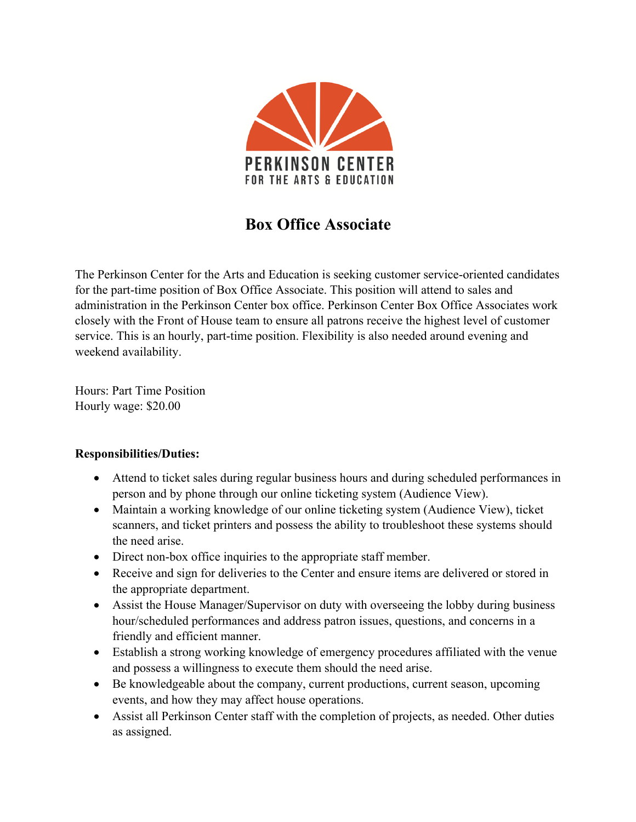

## **Box Office Associate**

The Perkinson Center for the Arts and Education is seeking customer service-oriented candidates for the part-time position of Box Office Associate. This position will attend to sales and administration in the Perkinson Center box office. Perkinson Center Box Office Associates work closely with the Front of House team to ensure all patrons receive the highest level of customer service. This is an hourly, part-time position. Flexibility is also needed around evening and weekend availability.

Hours: Part Time Position Hourly wage: \$20.00

## **Responsibilities/Duties:**

- Attend to ticket sales during regular business hours and during scheduled performances in person and by phone through our online ticketing system (Audience View).
- Maintain a working knowledge of our online ticketing system (Audience View), ticket scanners, and ticket printers and possess the ability to troubleshoot these systems should the need arise.
- Direct non-box office inquiries to the appropriate staff member.
- Receive and sign for deliveries to the Center and ensure items are delivered or stored in the appropriate department.
- Assist the House Manager/Supervisor on duty with overseeing the lobby during business hour/scheduled performances and address patron issues, questions, and concerns in a friendly and efficient manner.
- Establish a strong working knowledge of emergency procedures affiliated with the venue and possess a willingness to execute them should the need arise.
- Be knowledgeable about the company, current productions, current season, upcoming events, and how they may affect house operations.
- Assist all Perkinson Center staff with the completion of projects, as needed. Other duties as assigned.